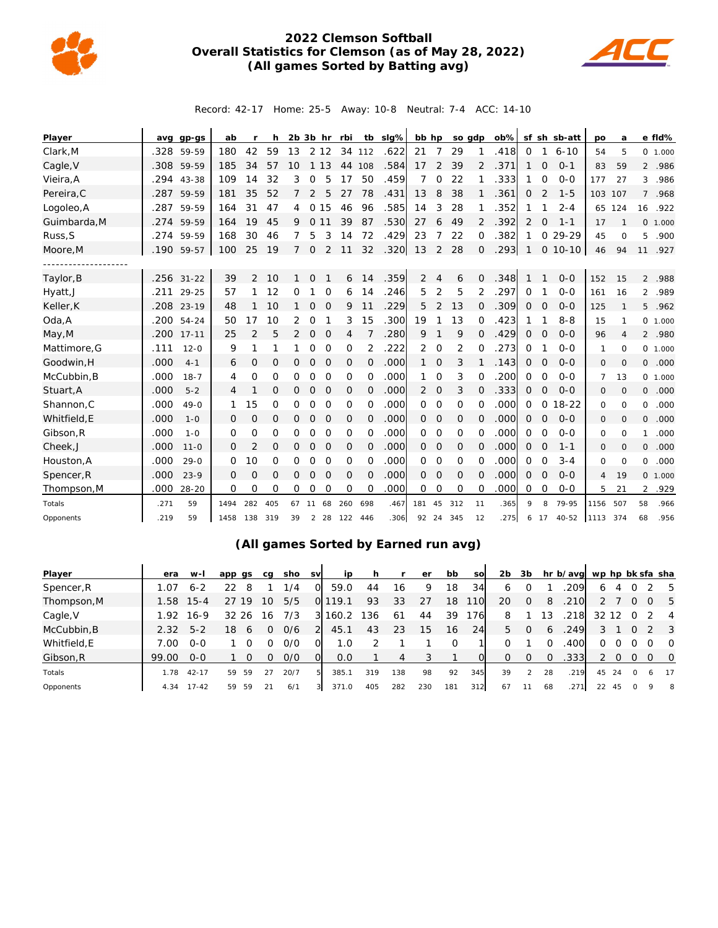

## **2022 Clemson Softball Overall Statistics for Clemson (as of May 28, 2022) (All games Sorted by Batting avg)**



Record: 42-17 Home: 25-5 Away: 10-8 Neutral: 7-4 ACC: 14-10

| Player       | avg  | gp-gs        | ab   |                | h   |          | $2b$ $3b$ hr   |              | rbi      | tb       | $slq\%$ | bb hp          |                | so gdp   |                | ob%  | sf            |                | sh sb-att | po             | a              |                | e fld%   |
|--------------|------|--------------|------|----------------|-----|----------|----------------|--------------|----------|----------|---------|----------------|----------------|----------|----------------|------|---------------|----------------|-----------|----------------|----------------|----------------|----------|
| Clark, M     | .328 | 59-59        | 180  | 42             | 59  | 13       |                | 2 1 2        | 34       | 112      | .622    | 21             | 7              | 29       | 1              | .418 | 0             | 1              | $6 - 10$  | 54             | 5              |                | 0 1.000  |
| Cagle, V     | .308 | 59-59        | 185  | 34             | 57  | 10       | $\mathbf{1}$   | 13           | 44       | 108      | .584    | 17             | 2              | 39       | $\overline{2}$ | 371  |               | $\Omega$       | $0 - 1$   | 83             | 59             |                | 2 .986   |
| Vieira, A    | .294 | 43-38        | 109  | 14             | 32  | 3        | 0              | 5            | 17       | 50       | .459    | 7              | 0              | 22       |                | 333  |               | $\Omega$       | $O-O$     | 177            | 27             | 3              | .986     |
| Pereira, C   | .287 | 59-59        | 181  | 35             | 52  | 7        | 2              | 5            | 27       | 78       | .431    | 13             | 8              | 38       |                | .361 | 0             | 2              | $1 - 5$   | 103            | 107            | $\overline{7}$ | .968     |
| Logoleo, A   | .287 | 59-59        | 164  | 31             | 47  | 4        | 0 15           |              | 46       | 96       | .585    | 14             | 3              | 28       |                | .352 | 1             |                | $2 - 4$   |                | 65 124         | 16             | .922     |
| Guimbarda, M | .274 | 59-59        | 164  | 19             | 45  | 9        | $\circ$        | 11           | 39       | 87       | .530    | 27             | 6              | 49       | 2              | .392 | 2             | $\Omega$       | $1 - 1$   | 17             | $\mathbf{1}$   | 0              | 1.000    |
| Russ, S      | .274 | 59-59        | 168  | 30             | 46  | 7        | 5              | 3            | 14       | 72       | .429    | 23             | 7              | 22       | 0              | 382  | 1             | $\Omega$       | 29-29     | 45             | $\circ$        | 5              | .900     |
| Moore, M     | .190 | 59-57        | 100  | 25             | 19  | 7        | $\mathbf 0$    | 2            | 11       | 32       | .320    | 13             | 2              | 28       | $\overline{O}$ | .293 |               | $\overline{0}$ | $10 - 10$ | 46             | 94             | 11             | .927     |
|              |      |              |      |                |     |          |                |              |          |          |         |                |                |          |                |      |               |                |           |                |                |                |          |
| Taylor, B    |      | $.256$ 31-22 | 39   | 2              | 10  | 1        | $\circ$        |              | 6        | 14       | .359    | 2              | $\overline{4}$ | 6        | 0              | .348 |               |                | $O - O$   | 152            | 15             |                | 2 .988   |
| Hyatt, J     | .211 | $29 - 25$    | 57   | 1              | 12  | 0        | 1              | 0            | 6        | 14       | .246    | 5              | $\overline{2}$ | 5        | 2              | 297  | 0             |                | $O - O$   | 161            | 16             | $\overline{2}$ | .989     |
| Keller, K    |      | .208 23-19   | 48   | 1              | 10  | 1        | $\mathbf 0$    | $\mathbf{O}$ | 9        | 11       | 229     | 5              | 2              | 13       | 0              | 309  | $\mathcal{O}$ | $\Omega$       | $O - O$   | 125            | $\mathbf{1}$   | 5              | .962     |
| Oda, A       | .200 | $54 - 24$    | 50   | 17             | 10  | 2        | 0              |              | 3        | 15       | .300    | 19             | 1              | 13       | $\Omega$       | .423 | 1             |                | $8 - 8$   | 15             | 1              |                | 0, 1.000 |
| May, M       | .200 | $17 - 11$    | 25   | $\overline{2}$ | 5   | 2        | $\mathbf 0$    | $\mathbf 0$  | 4        | 7        | .280    | 9              | 1              | 9        | 0              | 429  | 0             | $\Omega$       | $O - O$   | 96             | $\overline{4}$ | $\overline{2}$ | .980     |
| Mattimore, G | .111 | $12 - 0$     | 9    | 1              | 1   | 1        | 0              | $\circ$      | 0        | 2        | .222    | 2              | $\mathbf 0$    | 2        | Ω              | 273  | 0             |                | $O - O$   | 1              | $\circ$        |                | 0 1.000  |
| Goodwin, H   | .000 | $4 - 1$      | 6    | $\mathbf 0$    | 0   | 0        | $\mathbf 0$    | $\mathbf 0$  | 0        | $\Omega$ | .000    | $\mathbf{1}$   | $\overline{O}$ | 3        |                | .143 | 0             | $\Omega$       | $O - O$   | $\mathbf 0$    | $\circ$        | 0              | .000     |
| McCubbin.B   | .000 | $18 - 7$     | 4    | 0              | 0   | 0        | O              | $\Omega$     | $\Omega$ | 0        | .000    | 1.             | $\Omega$       | 3        | Ω              | 200  | 0             | $\Omega$       | $O - O$   | 7              | 13             |                | 0, 1,000 |
| Stuart, A    | .000 | $5 - 2$      | 4    |                | 0   | 0        | $\circ$        | $\mathbf 0$  | 0        | $\Omega$ | .000    | $\overline{2}$ | $\overline{O}$ | 3        | 0              | .333 | $\mathbf{O}$  | $\Omega$       | $O - O$   | $\mathbf{O}$   | $\circ$        | 0              | .000     |
| Shannon, C   | .000 | $49 - 0$     | 1    | 15             | 0   | 0        | 0              | 0            | 0        | 0        | .000    | $\Omega$       | 0              | 0        | $\Omega$       | .000 | 0             | $\Omega$       | $18 - 22$ | $\circ$        | 0              | 0              | .000     |
| Whitfield, E | .000 | $1 - 0$      | 0    | $\mathbf{O}$   | Ω   | $\Omega$ | $\circ$        | $\Omega$     | 0        | $\Omega$ | .000    | $\Omega$       | $\mathbf 0$    | 0        | Ω              | .000 | $\Omega$      | $\Omega$       | $O - O$   | $\mathbf{O}$   | $\Omega$       | 0              | .000     |
| Gibson, R    | .000 | $1 - 0$      | 0    | 0              | 0   | 0        | $\mathcal{O}$  | 0            | 0        | 0        | .000    | 0              | $\mathbf 0$    | 0        | 0              | .000 | 0             | 0              | $O - O$   | 0              | $\circ$        | 1              | .000     |
| Cheek, J     | .000 | $11 - 0$     | 0    | $\overline{2}$ | 0   | 0        | $\mathbf 0$    | $\mathbf 0$  | 0        | $\Omega$ | .000    | $\circ$        | 0              | 0        | $\Omega$       | .000 | 0             | $\Omega$       | $1 - 1$   | $\mathbf 0$    | 0              | O              | .000     |
| Houston, A   | .000 | $29 - 0$     | 0    | 10             | 0   | 0        | O              | $\Omega$     | $\Omega$ | $\Omega$ | .000    | $\Omega$       | 0              | $\Omega$ | 0              | .000 | $\Omega$      | O              | $3 - 4$   | 0              | $\Omega$       | 0              | .000     |
| Spencer, R   | .000 | $23 - 9$     | 0    | $\mathbf{O}$   | 0   | 0        | $\mathbf 0$    | $\circ$      | O        | 0        | .000    | 0              | $\mathbf 0$    | 0        | 0              | .000 | 0             | $\Omega$       | $O - O$   | $\overline{4}$ | 19             | 0              | 1.000    |
| Thompson, M  | .000 | $28 - 20$    | 0    | 0              | 0   | 0        | O              | 0            | 0        | O        | .000    | 0              | 0              | 0        | 0              | 000  | 0             | $\Omega$       | $O - O$   | 5              | 21             | 2              | .929     |
| Totals       | .271 | 59           | 1494 | 282            | 405 | 67       | 11             | 68           | 260      | 698      | .467    | 181            | 45             | 312      | 11             | 365  | 9             | 8              | 79-95     | 1156           | 507            | 58             | .966     |
| Opponents    | .219 | 59           | 1458 | 138            | 319 | 39       | $\overline{2}$ | 28           | 122      | 446      | .306    | 92             | 24             | 345      | 12             | .275 | 6             | 17             | $40 - 52$ | 1113           | 374            | 68             | .956     |

## **(All games Sorted by Earned run avg)**

| Player       | era    | $W-I$     | app qs   | ca | sho  | <b>SV</b> | i p   | h   |     | er  | bb  | <b>SO</b> | 2 <sub>b</sub> | 3b       |    | hr b/avg wp hp bk sfa sha |    |    |          |   |                         |
|--------------|--------|-----------|----------|----|------|-----------|-------|-----|-----|-----|-----|-----------|----------------|----------|----|---------------------------|----|----|----------|---|-------------------------|
| Spencer, R   | 1.07   | $6 - 2$   | 8        |    | 1/4  | 0         | 59.0  | 44  | 16  | 9   | 18  | 34        | 6              |          |    | .209                      | 6  | 4  |          |   | - 5                     |
| Thompson, M  | 1.58   | $15 - 4$  | 19       | 10 | 5/5  |           | 119.1 | 93  | 33  | 27  | 18  | 110       | 20             | $\Omega$ | 8  | .210                      |    |    |          |   | - 5                     |
| Cagle, V     | 1.92   | $16-9$    | 26<br>32 | 16 | 7/3  | 31        | 160.2 | 136 | -61 | 44  | 39  | 176       | 8              |          | 13 | .218                      | 32 | 12 |          |   | $\overline{4}$          |
| McCubbin, B  | 2.32   | $5 - 2$   | 18<br>6  | O  | 0/6  | 21        | 45.1  | 43  | 23  | 15  | 16  | 24        | 5              | $\Omega$ | 6  | .249                      | 3  |    |          |   | $\overline{\mathbf{3}}$ |
| Whitfield, E | 7.00   | $0 - 0$   |          |    | 0/0  |           | 1.0   |     |     |     |     |           | 0              |          |    | .400                      | 0  | Ω  |          |   | $\overline{O}$          |
| Gibson, R    | 99.00  | $0 - 0$   |          |    | O/O  | Ω         | 0.0   |     | 4   |     |     |           | 0              | $\Omega$ |    | .333                      |    |    |          |   | $\overline{0}$          |
| Totals       | . . 78 | $42 - 17$ | 59<br>59 | 27 | 20/7 | 5         | 385.1 | 319 | 138 | 98  | 92  | 345       | 39             |          | 28 | .219                      | 45 | 24 | $\Omega$ | 6 | 17                      |
| Opponents    | 4.34   | $17 - 42$ | 59<br>59 | 21 | 6/1  | 3         | 371.0 | 405 | 282 | 230 | 181 | 312       | 67             |          | 68 | 271                       | 22 | 45 |          |   | - 8                     |